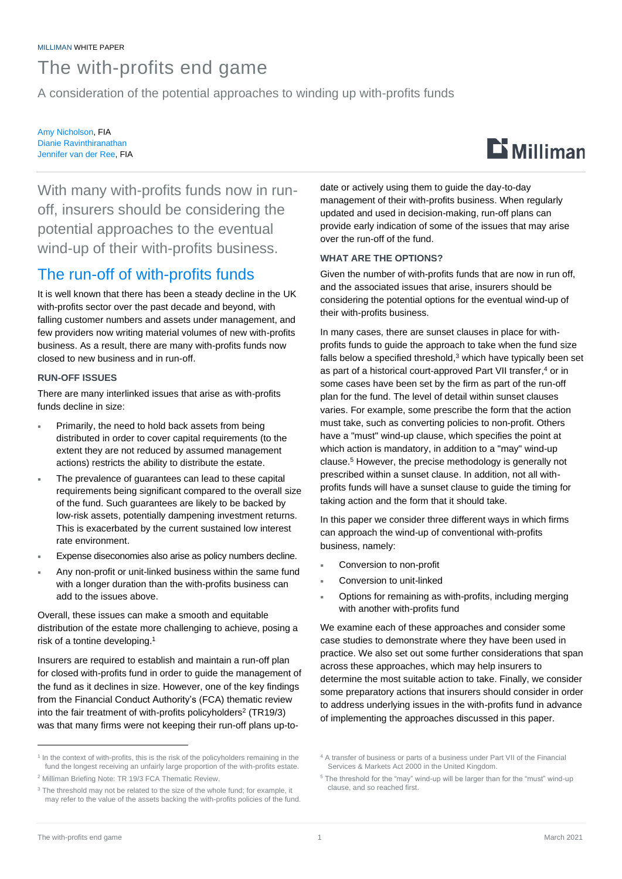# The with-profits end game

A consideration of the potential approaches to winding up with-profits funds

Amy Nicholson, FIA Dianie Ravinthiranathan Jennifer van der Ree, FIA



With many with-profits funds now in runoff, insurers should be considering the potential approaches to the eventual wind-up of their with-profits business.

# The run-off of with-profits funds

It is well known that there has been a steady decline in the UK with-profits sector over the past decade and beyond, with falling customer numbers and assets under management, and few providers now writing material volumes of new with-profits business. As a result, there are many with-profits funds now closed to new business and in run-off.

### **RUN-OFF ISSUES**

There are many interlinked issues that arise as with-profits funds decline in size:

- Primarily, the need to hold back assets from being distributed in order to cover capital requirements (to the extent they are not reduced by assumed management actions) restricts the ability to distribute the estate.
- The prevalence of guarantees can lead to these capital requirements being significant compared to the overall size of the fund. Such guarantees are likely to be backed by low-risk assets, potentially dampening investment returns. This is exacerbated by the current sustained low interest rate environment.
- Expense diseconomies also arise as policy numbers decline.
- Any non-profit or unit-linked business within the same fund with a longer duration than the with-profits business can add to the issues above.

Overall, these issues can make a smooth and equitable distribution of the estate more challenging to achieve, posing a risk of a tontine developing. 1

Insurers are required to establish and maintain a run-off plan for closed with-profits fund in order to guide the management of the fund as it declines in size. However, one of the key findings from the Financial Conduct Authority's (FCA) thematic review into the fair treatment of with-profits policyholders<sup>2</sup> (TR19/3) was that many firms were not keeping their run-off plans up-to-

date or actively using them to guide the day-to-day management of their with-profits business. When regularly updated and used in decision-making, run-off plans can provide early indication of some of the issues that may arise over the run-off of the fund.

#### **WHAT ARE THE OPTIONS?**

Given the number of with-profits funds that are now in run off, and the associated issues that arise, insurers should be considering the potential options for the eventual wind-up of their with-profits business.

In many cases, there are sunset clauses in place for withprofits funds to guide the approach to take when the fund size falls below a specified threshold, <sup>3</sup> which have typically been set as part of a historical court-approved Part VII transfer, <sup>4</sup> or in some cases have been set by the firm as part of the run-off plan for the fund. The level of detail within sunset clauses varies. For example, some prescribe the form that the action must take, such as converting policies to non-profit. Others have a "must" wind-up clause, which specifies the point at which action is mandatory, in addition to a "may" wind-up clause. <sup>5</sup> However, the precise methodology is generally not prescribed within a sunset clause. In addition, not all withprofits funds will have a sunset clause to guide the timing for taking action and the form that it should take.

In this paper we consider three different ways in which firms can approach the wind-up of conventional with-profits business, namely:

- Conversion to non-profit
- Conversion to unit-linked
- Options for remaining as with-profits, including merging with another with-profits fund

We examine each of these approaches and consider some case studies to demonstrate where they have been used in practice. We also set out some further considerations that span across these approaches, which may help insurers to determine the most suitable action to take. Finally, we consider some preparatory actions that insurers should consider in order to address underlying issues in the with-profits fund in advance of implementing the approaches discussed in this paper.

<sup>&</sup>lt;sup>1</sup> In the context of with-profits, this is the risk of the policyholders remaining in the fund the longest receiving an unfairly large proportion of the with-profits estate. <sup>2</sup> [Milliman Briefing Note: TR 19/3 FCA Thematic Review.](https://uk.milliman.com/-/media/milliman/importedfiles/ektron/tr19-3_fca_thematic_review_20190522.ashx)

<sup>&</sup>lt;sup>3</sup> The threshold may not be related to the size of the whole fund; for example, it may refer to the value of the assets backing the with-profits policies of the fund.

<sup>4</sup> A transfer of business or parts of a business under Part VII of the [Financial](https://en.wikipedia.org/wiki/Financial_Services_%26_Markets_Act_2000)  [Services & Markets Act 2000](https://en.wikipedia.org/wiki/Financial_Services_%26_Markets_Act_2000) in the [United Kingdom.](https://en.wikipedia.org/wiki/United_Kingdom)

<sup>5</sup> The threshold for the "may" wind-up will be larger than for the "must" wind-up clause, and so reached first.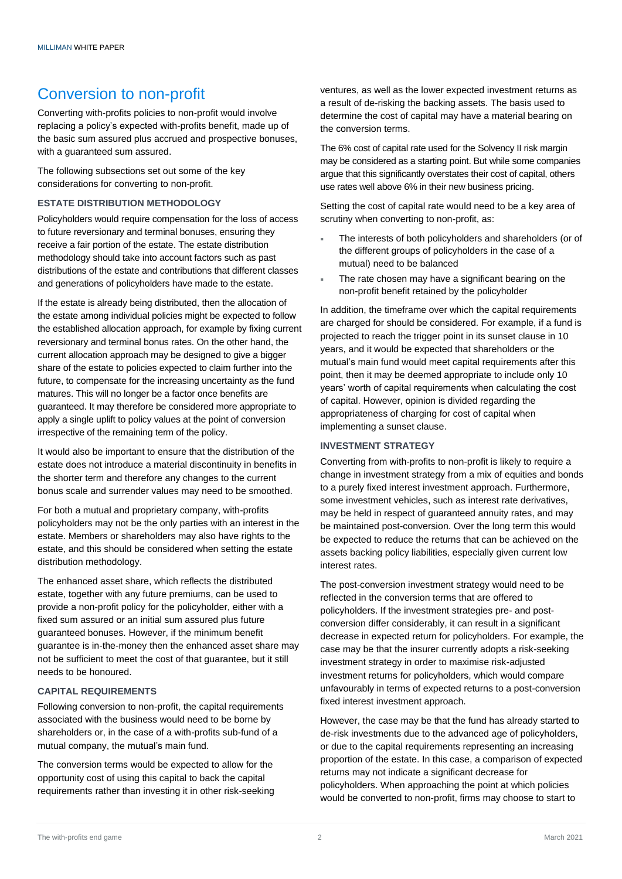### Conversion to non-profit

Converting with-profits policies to non-profit would involve replacing a policy's expected with-profits benefit, made up of the basic sum assured plus accrued and prospective bonuses, with a guaranteed sum assured.

The following subsections set out some of the key considerations for converting to non-profit.

#### **ESTATE DISTRIBUTION METHODOLOGY**

Policyholders would require compensation for the loss of access to future reversionary and terminal bonuses, ensuring they receive a fair portion of the estate. The estate distribution methodology should take into account factors such as past distributions of the estate and contributions that different classes and generations of policyholders have made to the estate.

If the estate is already being distributed, then the allocation of the estate among individual policies might be expected to follow the established allocation approach, for example by fixing current reversionary and terminal bonus rates. On the other hand, the current allocation approach may be designed to give a bigger share of the estate to policies expected to claim further into the future, to compensate for the increasing uncertainty as the fund matures. This will no longer be a factor once benefits are guaranteed. It may therefore be considered more appropriate to apply a single uplift to policy values at the point of conversion irrespective of the remaining term of the policy.

It would also be important to ensure that the distribution of the estate does not introduce a material discontinuity in benefits in the shorter term and therefore any changes to the current bonus scale and surrender values may need to be smoothed.

For both a mutual and proprietary company, with-profits policyholders may not be the only parties with an interest in the estate. Members or shareholders may also have rights to the estate, and this should be considered when setting the estate distribution methodology.

The enhanced asset share, which reflects the distributed estate, together with any future premiums, can be used to provide a non-profit policy for the policyholder, either with a fixed sum assured or an initial sum assured plus future guaranteed bonuses. However, if the minimum benefit guarantee is in-the-money then the enhanced asset share may not be sufficient to meet the cost of that guarantee, but it still needs to be honoured.

#### **CAPITAL REQUIREMENTS**

Following conversion to non-profit, the capital requirements associated with the business would need to be borne by shareholders or, in the case of a with-profits sub-fund of a mutual company, the mutual's main fund.

The conversion terms would be expected to allow for the opportunity cost of using this capital to back the capital requirements rather than investing it in other risk-seeking ventures, as well as the lower expected investment returns as a result of de-risking the backing assets. The basis used to determine the cost of capital may have a material bearing on the conversion terms.

The 6% cost of capital rate used for the Solvency II risk margin may be considered as a starting point. But while some companies argue that this significantly overstates their cost of capital, others use rates well above 6% in their new business pricing.

Setting the cost of capital rate would need to be a key area of scrutiny when converting to non-profit, as:

- The interests of both policyholders and shareholders (or of the different groups of policyholders in the case of a mutual) need to be balanced
- The rate chosen may have a significant bearing on the non-profit benefit retained by the policyholder

In addition, the timeframe over which the capital requirements are charged for should be considered. For example, if a fund is projected to reach the trigger point in its sunset clause in 10 years, and it would be expected that shareholders or the mutual's main fund would meet capital requirements after this point, then it may be deemed appropriate to include only 10 years' worth of capital requirements when calculating the cost of capital. However, opinion is divided regarding the appropriateness of charging for cost of capital when implementing a sunset clause.

#### **INVESTMENT STRATEGY**

Converting from with-profits to non-profit is likely to require a change in investment strategy from a mix of equities and bonds to a purely fixed interest investment approach. Furthermore, some investment vehicles, such as interest rate derivatives, may be held in respect of guaranteed annuity rates, and may be maintained post-conversion. Over the long term this would be expected to reduce the returns that can be achieved on the assets backing policy liabilities, especially given current low interest rates.

The post-conversion investment strategy would need to be reflected in the conversion terms that are offered to policyholders. If the investment strategies pre- and postconversion differ considerably, it can result in a significant decrease in expected return for policyholders. For example, the case may be that the insurer currently adopts a risk-seeking investment strategy in order to maximise risk-adjusted investment returns for policyholders, which would compare unfavourably in terms of expected returns to a post-conversion fixed interest investment approach.

However, the case may be that the fund has already started to de-risk investments due to the advanced age of policyholders, or due to the capital requirements representing an increasing proportion of the estate. In this case, a comparison of expected returns may not indicate a significant decrease for policyholders. When approaching the point at which policies would be converted to non-profit, firms may choose to start to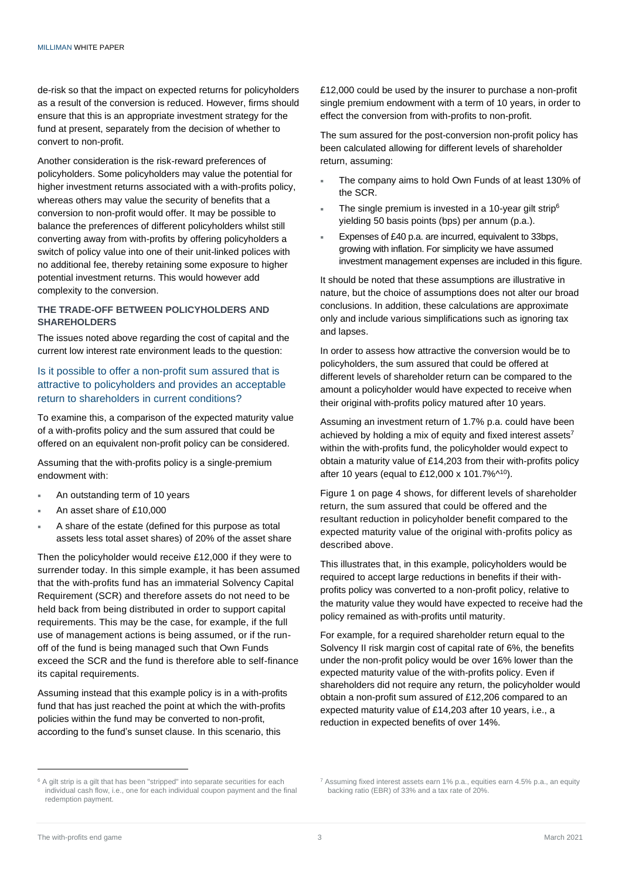de-risk so that the impact on expected returns for policyholders as a result of the conversion is reduced. However, firms should ensure that this is an appropriate investment strategy for the fund at present, separately from the decision of whether to convert to non-profit.

Another consideration is the risk-reward preferences of policyholders. Some policyholders may value the potential for higher investment returns associated with a with-profits policy, whereas others may value the security of benefits that a conversion to non-profit would offer. It may be possible to balance the preferences of different policyholders whilst still converting away from with-profits by offering policyholders a switch of policy value into one of their unit-linked polices with no additional fee, thereby retaining some exposure to higher potential investment returns. This would however add complexity to the conversion.

#### **THE TRADE-OFF BETWEEN POLICYHOLDERS AND SHAREHOLDERS**

The issues noted above regarding the cost of capital and the current low interest rate environment leads to the question:

### Is it possible to offer a non-profit sum assured that is attractive to policyholders and provides an acceptable return to shareholders in current conditions?

To examine this, a comparison of the expected maturity value of a with-profits policy and the sum assured that could be offered on an equivalent non-profit policy can be considered.

Assuming that the with-profits policy is a single-premium endowment with:

- An outstanding term of 10 years
- An asset share of £10,000
- A share of the estate (defined for this purpose as total assets less total asset shares) of 20% of the asset share

Then the policyholder would receive £12,000 if they were to surrender today. In this simple example, it has been assumed that the with-profits fund has an immaterial Solvency Capital Requirement (SCR) and therefore assets do not need to be held back from being distributed in order to support capital requirements. This may be the case, for example, if the full use of management actions is being assumed, or if the runoff of the fund is being managed such that Own Funds exceed the SCR and the fund is therefore able to self-finance its capital requirements.

Assuming instead that this example policy is in a with-profits fund that has just reached the point at which the with-profits policies within the fund may be converted to non-profit, according to the fund's sunset clause. In this scenario, this

£12,000 could be used by the insurer to purchase a non-profit single premium endowment with a term of 10 years, in order to effect the conversion from with-profits to non-profit.

The sum assured for the post-conversion non-profit policy has been calculated allowing for different levels of shareholder return, assuming:

- The company aims to hold Own Funds of at least 130% of the SCR.
- The single premium is invested in a 10-year gilt strip<sup>6</sup> yielding 50 basis points (bps) per annum (p.a.).
- Expenses of £40 p.a. are incurred, equivalent to 33bps, growing with inflation. For simplicity we have assumed investment management expenses are included in this figure.

It should be noted that these assumptions are illustrative in nature, but the choice of assumptions does not alter our broad conclusions. In addition, these calculations are approximate only and include various simplifications such as ignoring tax and lapses.

In order to assess how attractive the conversion would be to policyholders, the sum assured that could be offered at different levels of shareholder return can be compared to the amount a policyholder would have expected to receive when their original with-profits policy matured after 10 years.

Assuming an investment return of 1.7% p.a. could have been achieved by holding a mix of equity and fixed interest assets<sup>7</sup> within the with-profits fund, the policyholder would expect to obtain a maturity value of £14,203 from their with-profits policy after 10 years (equal to £12,000 x 101.7%^<sup>10</sup>).

Figure 1 on page 4 shows, for different levels of shareholder return, the sum assured that could be offered and the resultant reduction in policyholder benefit compared to the expected maturity value of the original with-profits policy as described above.

This illustrates that, in this example, policyholders would be required to accept large reductions in benefits if their withprofits policy was converted to a non-profit policy, relative to the maturity value they would have expected to receive had the policy remained as with-profits until maturity.

For example, for a required shareholder return equal to the Solvency II risk margin cost of capital rate of 6%, the benefits under the non-profit policy would be over 16% lower than the expected maturity value of the with-profits policy. Even if shareholders did not require any return, the policyholder would obtain a non-profit sum assured of £12,206 compared to an expected maturity value of £14,203 after 10 years, i.e., a reduction in expected benefits of over 14%.

<sup>&</sup>lt;sup>6</sup> A gilt strip is a gilt that has been "stripped" into separate securities for each individual cash flow, i.e., one for each individual coupon payment and the final redemption payment.

<sup>7</sup> Assuming fixed interest assets earn 1% p.a., equities earn 4.5% p.a., an equity backing ratio (EBR) of 33% and a tax rate of 20%.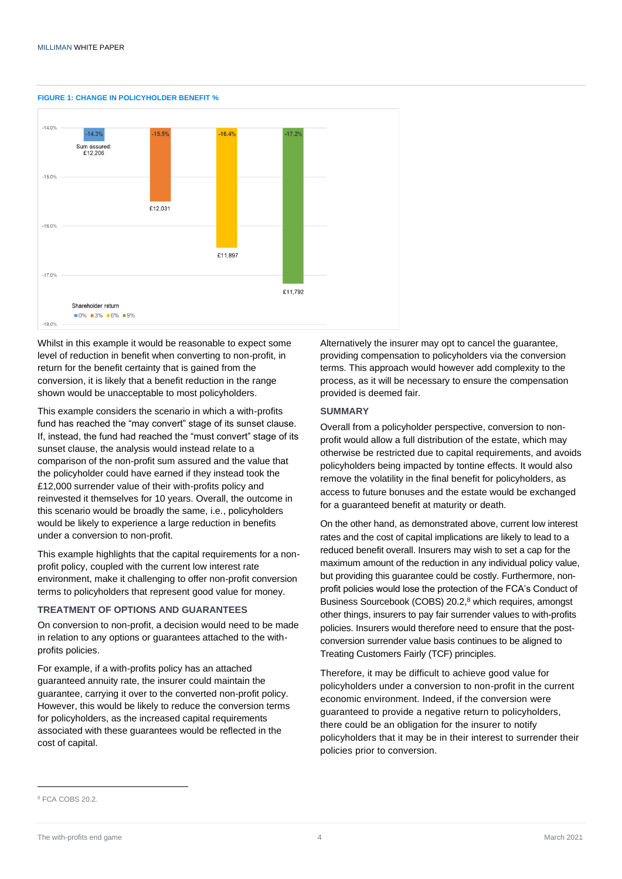

#### **FIGURE 1: CHANGE IN POLICYHOLDER BENEFIT %**

Whilst in this example it would be reasonable to expect some level of reduction in benefit when converting to non-profit, in return for the benefit certainty that is gained from the conversion, it is likely that a benefit reduction in the range shown would be unacceptable to most policyholders.

This example considers the scenario in which a with-profits fund has reached the "may convert" stage of its sunset clause. If, instead, the fund had reached the "must convert" stage of its sunset clause, the analysis would instead relate to a comparison of the non-profit sum assured and the value that the policyholder could have earned if they instead took the £12,000 surrender value of their with-profits policy and reinvested it themselves for 10 years. Overall, the outcome in this scenario would be broadly the same, i.e., policyholders would be likely to experience a large reduction in benefits under a conversion to non-profit.

This example highlights that the capital requirements for a nonprofit policy, coupled with the current low interest rate environment, make it challenging to offer non-profit conversion terms to policyholders that represent good value for money.

#### **TREATMENT OF OPTIONS AND GUARANTEES**

On conversion to non-profit, a decision would need to be made in relation to any options or guarantees attached to the withprofits policies.

For example, if a with-profits policy has an attached guaranteed annuity rate, the insurer could maintain the guarantee, carrying it over to the converted non-profit policy. However, this would be likely to reduce the conversion terms for policyholders, as the increased capital requirements associated with these guarantees would be reflected in the cost of capital.

Alternatively the insurer may opt to cancel the guarantee, providing compensation to policyholders via the conversion terms. This approach would however add complexity to the process, as it will be necessary to ensure the compensation provided is deemed fair.

#### **SUMMARY**

Overall from a policyholder perspective, conversion to nonprofit would allow a full distribution of the estate, which may otherwise be restricted due to capital requirements, and avoids policyholders being impacted by tontine effects. It would also remove the volatility in the final benefit for policyholders, as access to future bonuses and the estate would be exchanged for a guaranteed benefit at maturity or death.

On the other hand, as demonstrated above, current low interest rates and the cost of capital implications are likely to lead to a reduced benefit overall. Insurers may wish to set a cap for the maximum amount of the reduction in any individual policy value, but providing this guarantee could be costly. Furthermore, nonprofit policies would lose the protection of the FCA's Conduct of Business Sourcebook (COBS) 20.2, <sup>8</sup> which requires, amongst other things, insurers to pay fair surrender values to with-profits policies. Insurers would therefore need to ensure that the postconversion surrender value basis continues to be aligned to Treating Customers Fairly (TCF) principles.

Therefore, it may be difficult to achieve good value for policyholders under a conversion to non-profit in the current economic environment. Indeed, if the conversion were guaranteed to provide a negative return to policyholders, there could be an obligation for the insurer to notify policyholders that it may be in their interest to surrender their policies prior to conversion.

<sup>8</sup> [FCA COBS 20.2.](https://www.handbook.fca.org.uk/handbook/COBS/20/2.pdf)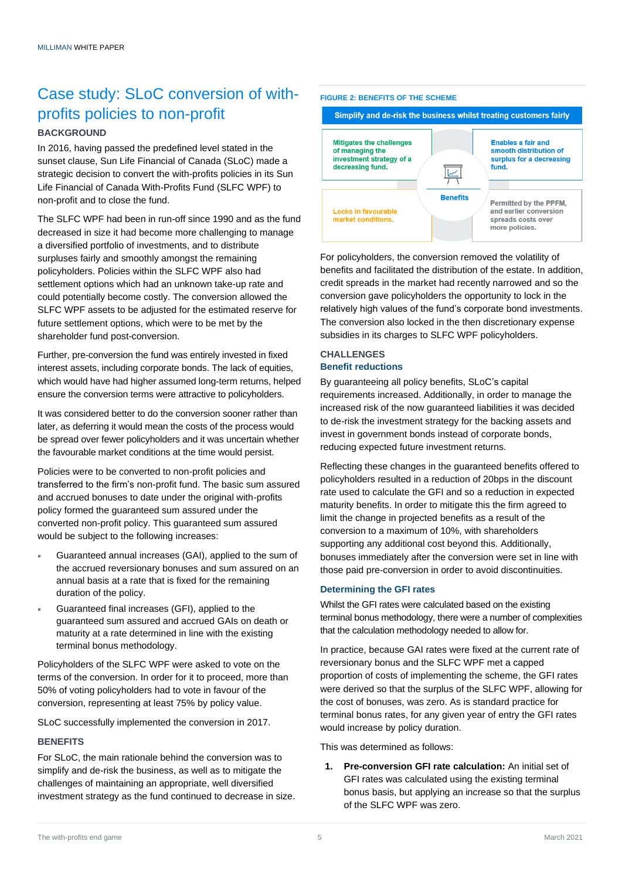# Case study: SLoC conversion of withprofits policies to non-profit

#### **BACKGROUND**

In 2016, having passed the predefined level stated in the sunset clause, Sun Life Financial of Canada (SLoC) made a strategic decision to convert the with-profits policies in its Sun Life Financial of Canada With-Profits Fund (SLFC WPF) to non-profit and to close the fund.

The SLFC WPF had been in run-off since 1990 and as the fund decreased in size it had become more challenging to manage a diversified portfolio of investments, and to distribute surpluses fairly and smoothly amongst the remaining policyholders. Policies within the SLFC WPF also had settlement options which had an unknown take-up rate and could potentially become costly. The conversion allowed the SLFC WPF assets to be adjusted for the estimated reserve for future settlement options, which were to be met by the shareholder fund post-conversion.

Further, pre-conversion the fund was entirely invested in fixed interest assets, including corporate bonds. The lack of equities, which would have had higher assumed long-term returns, helped ensure the conversion terms were attractive to policyholders.

It was considered better to do the conversion sooner rather than later, as deferring it would mean the costs of the process would be spread over fewer policyholders and it was uncertain whether the favourable market conditions at the time would persist.

Policies were to be converted to non-profit policies and transferred to the firm's non-profit fund. The basic sum assured and accrued bonuses to date under the original with-profits policy formed the guaranteed sum assured under the converted non-profit policy. This guaranteed sum assured would be subject to the following increases:

- Guaranteed annual increases (GAI), applied to the sum of the accrued reversionary bonuses and sum assured on an annual basis at a rate that is fixed for the remaining duration of the policy.
- Guaranteed final increases (GFI), applied to the guaranteed sum assured and accrued GAIs on death or maturity at a rate determined in line with the existing terminal bonus methodology.

Policyholders of the SLFC WPF were asked to vote on the terms of the conversion. In order for it to proceed, more than 50% of voting policyholders had to vote in favour of the conversion, representing at least 75% by policy value.

SLoC successfully implemented the conversion in 2017.

#### **BENEFITS**

For SLoC, the main rationale behind the conversion was to simplify and de-risk the business, as well as to mitigate the challenges of maintaining an appropriate, well diversified investment strategy as the fund continued to decrease in size.

#### **FIGURE 2: BENEFITS OF THE SCHEME**



For policyholders, the conversion removed the volatility of benefits and facilitated the distribution of the estate. In addition, credit spreads in the market had recently narrowed and so the conversion gave policyholders the opportunity to lock in the relatively high values of the fund's corporate bond investments. The conversion also locked in the then discretionary expense subsidies in its charges to SLFC WPF policyholders.

### **CHALLENGES Benefit reductions**

By guaranteeing all policy benefits, SLoC's capital requirements increased. Additionally, in order to manage the increased risk of the now guaranteed liabilities it was decided to de-risk the investment strategy for the backing assets and invest in government bonds instead of corporate bonds, reducing expected future investment returns.

Reflecting these changes in the guaranteed benefits offered to policyholders resulted in a reduction of 20bps in the discount rate used to calculate the GFI and so a reduction in expected maturity benefits. In order to mitigate this the firm agreed to limit the change in projected benefits as a result of the conversion to a maximum of 10%, with shareholders supporting any additional cost beyond this. Additionally, bonuses immediately after the conversion were set in line with those paid pre-conversion in order to avoid discontinuities.

#### **Determining the GFI rates**

Whilst the GFI rates were calculated based on the existing terminal bonus methodology, there were a number of complexities that the calculation methodology needed to allow for.

In practice, because GAI rates were fixed at the current rate of reversionary bonus and the SLFC WPF met a capped proportion of costs of implementing the scheme, the GFI rates were derived so that the surplus of the SLFC WPF, allowing for the cost of bonuses, was zero. As is standard practice for terminal bonus rates, for any given year of entry the GFI rates would increase by policy duration.

This was determined as follows:

**1. Pre-conversion GFI rate calculation:** An initial set of GFI rates was calculated using the existing terminal bonus basis, but applying an increase so that the surplus of the SLFC WPF was zero.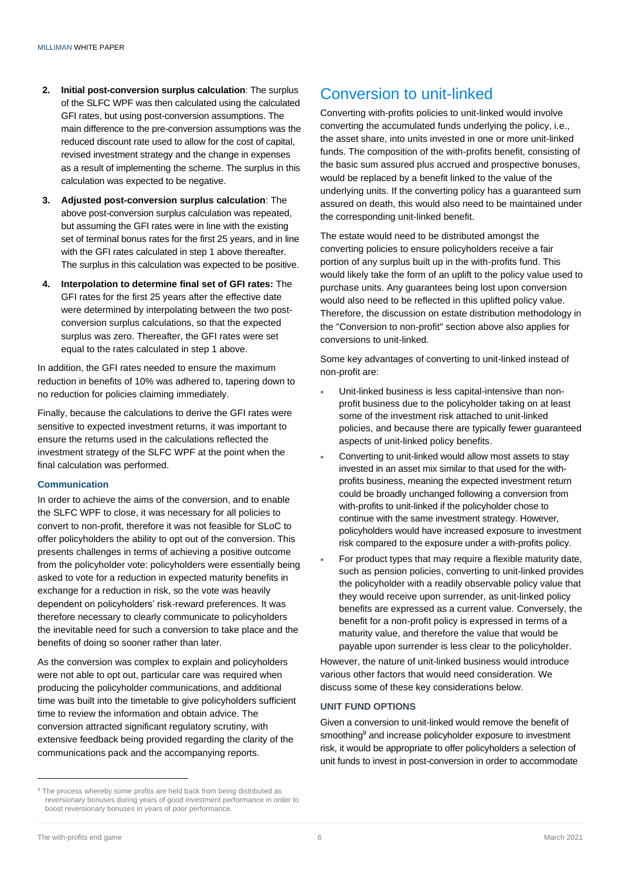- **2. Initial post-conversion surplus calculation**: The surplus of the SLFC WPF was then calculated using the calculated GFI rates, but using post-conversion assumptions. The main difference to the pre-conversion assumptions was the reduced discount rate used to allow for the cost of capital, revised investment strategy and the change in expenses as a result of implementing the scheme. The surplus in this calculation was expected to be negative.
- **3. Adjusted post-conversion surplus calculation**: The above post-conversion surplus calculation was repeated, but assuming the GFI rates were in line with the existing set of terminal bonus rates for the first 25 years, and in line with the GFI rates calculated in step 1 above thereafter. The surplus in this calculation was expected to be positive.
- **4. Interpolation to determine final set of GFI rates:** The GFI rates for the first 25 years after the effective date were determined by interpolating between the two postconversion surplus calculations, so that the expected surplus was zero. Thereafter, the GFI rates were set equal to the rates calculated in step 1 above.

In addition, the GFI rates needed to ensure the maximum reduction in benefits of 10% was adhered to, tapering down to no reduction for policies claiming immediately.

Finally, because the calculations to derive the GFI rates were sensitive to expected investment returns, it was important to ensure the returns used in the calculations reflected the investment strategy of the SLFC WPF at the point when the final calculation was performed.

#### **Communication**

In order to achieve the aims of the conversion, and to enable the SLFC WPF to close, it was necessary for all policies to convert to non-profit, therefore it was not feasible for SLoC to offer policyholders the ability to opt out of the conversion. This presents challenges in terms of achieving a positive outcome from the policyholder vote: policyholders were essentially being asked to vote for a reduction in expected maturity benefits in exchange for a reduction in risk, so the vote was heavily dependent on policyholders' risk-reward preferences. It was therefore necessary to clearly communicate to policyholders the inevitable need for such a conversion to take place and the benefits of doing so sooner rather than later.

As the conversion was complex to explain and policyholders were not able to opt out, particular care was required when producing the policyholder communications, and additional time was built into the timetable to give policyholders sufficient time to review the information and obtain advice. The conversion attracted significant regulatory scrutiny, with extensive feedback being provided regarding the clarity of the communications pack and the accompanying reports.

### Conversion to unit-linked

Converting with-profits policies to unit-linked would involve converting the accumulated funds underlying the policy, i.e., the asset share, into units invested in one or more unit-linked funds. The composition of the with-profits benefit, consisting of the basic sum assured plus accrued and prospective bonuses, would be replaced by a benefit linked to the value of the underlying units. If the converting policy has a guaranteed sum assured on death, this would also need to be maintained under the corresponding unit-linked benefit.

The estate would need to be distributed amongst the converting policies to ensure policyholders receive a fair portion of any surplus built up in the with-profits fund. This would likely take the form of an uplift to the policy value used to purchase units. Any guarantees being lost upon conversion would also need to be reflected in this uplifted policy value. Therefore, the discussion on estate distribution methodology in the "Conversion to non-profit" section above also applies for conversions to unit-linked.

Some key advantages of converting to unit-linked instead of non-profit are:

- Unit-linked business is less capital-intensive than nonprofit business due to the policyholder taking on at least some of the investment risk attached to unit-linked policies, and because there are typically fewer guaranteed aspects of unit-linked policy benefits.
- Converting to unit-linked would allow most assets to stay invested in an asset mix similar to that used for the withprofits business, meaning the expected investment return could be broadly unchanged following a conversion from with-profits to unit-linked if the policyholder chose to continue with the same investment strategy. However, policyholders would have increased exposure to investment risk compared to the exposure under a with-profits policy.
- For product types that may require a flexible maturity date, such as pension policies, converting to unit-linked provides the policyholder with a readily observable policy value that they would receive upon surrender, as unit-linked policy benefits are expressed as a current value. Conversely, the benefit for a non-profit policy is expressed in terms of a maturity value, and therefore the value that would be payable upon surrender is less clear to the policyholder.

However, the nature of unit-linked business would introduce various other factors that would need consideration. We discuss some of these key considerations below.

#### **UNIT FUND OPTIONS**

Given a conversion to unit-linked would remove the benefit of smoothing<sup>9</sup> and increase policyholder exposure to investment risk, it would be appropriate to offer policyholders a selection of unit funds to invest in post-conversion in order to accommodate

<sup>&</sup>lt;sup>9</sup> The process whereby some profits are held back from being distributed as reversionary bonuses during years of good investment performance in order to boost reversionary bonuses in years of poor performance.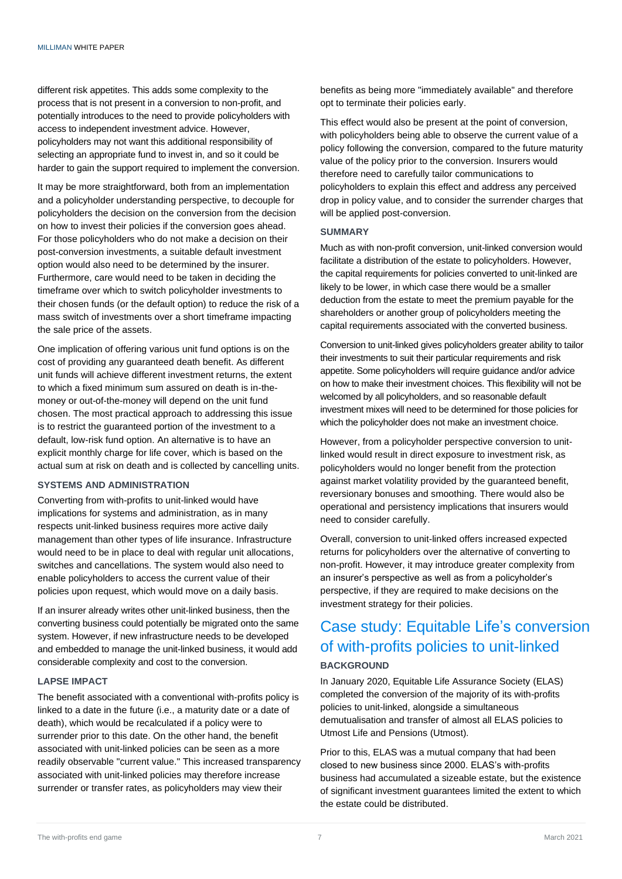different risk appetites. This adds some complexity to the process that is not present in a conversion to non-profit, and potentially introduces to the need to provide policyholders with access to independent investment advice. However, policyholders may not want this additional responsibility of selecting an appropriate fund to invest in, and so it could be harder to gain the support required to implement the conversion.

It may be more straightforward, both from an implementation and a policyholder understanding perspective, to decouple for policyholders the decision on the conversion from the decision on how to invest their policies if the conversion goes ahead. For those policyholders who do not make a decision on their post-conversion investments, a suitable default investment option would also need to be determined by the insurer. Furthermore, care would need to be taken in deciding the timeframe over which to switch policyholder investments to their chosen funds (or the default option) to reduce the risk of a mass switch of investments over a short timeframe impacting the sale price of the assets.

One implication of offering various unit fund options is on the cost of providing any guaranteed death benefit. As different unit funds will achieve different investment returns, the extent to which a fixed minimum sum assured on death is in-themoney or out-of-the-money will depend on the unit fund chosen. The most practical approach to addressing this issue is to restrict the guaranteed portion of the investment to a default, low-risk fund option. An alternative is to have an explicit monthly charge for life cover, which is based on the actual sum at risk on death and is collected by cancelling units.

#### **SYSTEMS AND ADMINISTRATION**

Converting from with-profits to unit-linked would have implications for systems and administration, as in many respects unit-linked business requires more active daily management than other types of life insurance. Infrastructure would need to be in place to deal with regular unit allocations, switches and cancellations. The system would also need to enable policyholders to access the current value of their policies upon request, which would move on a daily basis.

If an insurer already writes other unit-linked business, then the converting business could potentially be migrated onto the same system. However, if new infrastructure needs to be developed and embedded to manage the unit-linked business, it would add considerable complexity and cost to the conversion.

#### **LAPSE IMPACT**

The benefit associated with a conventional with-profits policy is linked to a date in the future (i.e., a maturity date or a date of death), which would be recalculated if a policy were to surrender prior to this date. On the other hand, the benefit associated with unit-linked policies can be seen as a more readily observable "current value." This increased transparency associated with unit-linked policies may therefore increase surrender or transfer rates, as policyholders may view their

benefits as being more "immediately available" and therefore opt to terminate their policies early.

This effect would also be present at the point of conversion, with policyholders being able to observe the current value of a policy following the conversion, compared to the future maturity value of the policy prior to the conversion. Insurers would therefore need to carefully tailor communications to policyholders to explain this effect and address any perceived drop in policy value, and to consider the surrender charges that will be applied post-conversion.

#### **SUMMARY**

Much as with non-profit conversion, unit-linked conversion would facilitate a distribution of the estate to policyholders. However, the capital requirements for policies converted to unit-linked are likely to be lower, in which case there would be a smaller deduction from the estate to meet the premium payable for the shareholders or another group of policyholders meeting the capital requirements associated with the converted business.

Conversion to unit-linked gives policyholders greater ability to tailor their investments to suit their particular requirements and risk appetite. Some policyholders will require guidance and/or advice on how to make their investment choices. This flexibility will not be welcomed by all policyholders, and so reasonable default investment mixes will need to be determined for those policies for which the policyholder does not make an investment choice.

However, from a policyholder perspective conversion to unitlinked would result in direct exposure to investment risk, as policyholders would no longer benefit from the protection against market volatility provided by the guaranteed benefit, reversionary bonuses and smoothing. There would also be operational and persistency implications that insurers would need to consider carefully.

Overall, conversion to unit-linked offers increased expected returns for policyholders over the alternative of converting to non-profit. However, it may introduce greater complexity from an insurer's perspective as well as from a policyholder's perspective, if they are required to make decisions on the investment strategy for their policies.

## Case study: Equitable Life's conversion of with-profits policies to unit-linked **BACKGROUND**

In January 2020, Equitable Life Assurance Society (ELAS) completed the conversion of the majority of its with-profits policies to unit-linked, alongside a simultaneous demutualisation and transfer of almost all ELAS policies to Utmost Life and Pensions (Utmost).

Prior to this, ELAS was a mutual company that had been closed to new business since 2000. ELAS's with-profits business had accumulated a sizeable estate, but the existence of significant investment guarantees limited the extent to which the estate could be distributed.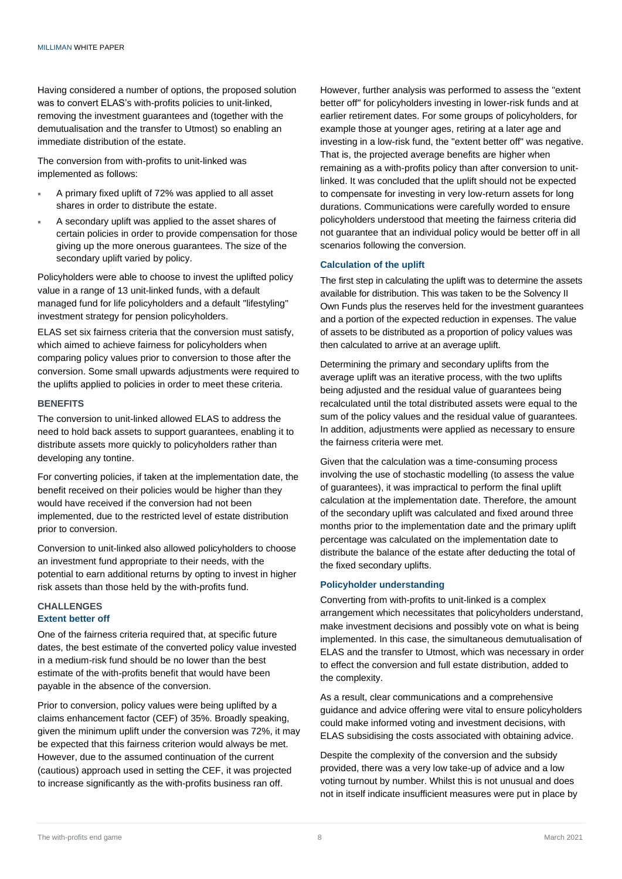Having considered a number of options, the proposed solution was to convert ELAS's with-profits policies to unit-linked, removing the investment guarantees and (together with the demutualisation and the transfer to Utmost) so enabling an immediate distribution of the estate.

The conversion from with-profits to unit-linked was implemented as follows:

- A primary fixed uplift of 72% was applied to all asset shares in order to distribute the estate.
- A secondary uplift was applied to the asset shares of certain policies in order to provide compensation for those giving up the more onerous guarantees. The size of the secondary uplift varied by policy.

Policyholders were able to choose to invest the uplifted policy value in a range of 13 unit-linked funds, with a default managed fund for life policyholders and a default "lifestyling" investment strategy for pension policyholders.

ELAS set six fairness criteria that the conversion must satisfy, which aimed to achieve fairness for policyholders when comparing policy values prior to conversion to those after the conversion. Some small upwards adjustments were required to the uplifts applied to policies in order to meet these criteria.

#### **BENEFITS**

The conversion to unit-linked allowed ELAS to address the need to hold back assets to support guarantees, enabling it to distribute assets more quickly to policyholders rather than developing any tontine.

For converting policies, if taken at the implementation date, the benefit received on their policies would be higher than they would have received if the conversion had not been implemented, due to the restricted level of estate distribution prior to conversion.

Conversion to unit-linked also allowed policyholders to choose an investment fund appropriate to their needs, with the potential to earn additional returns by opting to invest in higher risk assets than those held by the with-profits fund.

#### **CHALLENGES Extent better off**

One of the fairness criteria required that, at specific future dates, the best estimate of the converted policy value invested in a medium-risk fund should be no lower than the best estimate of the with-profits benefit that would have been payable in the absence of the conversion.

Prior to conversion, policy values were being uplifted by a claims enhancement factor (CEF) of 35%. Broadly speaking, given the minimum uplift under the conversion was 72%, it may be expected that this fairness criterion would always be met. However, due to the assumed continuation of the current (cautious) approach used in setting the CEF, it was projected to increase significantly as the with-profits business ran off.

However, further analysis was performed to assess the "extent better off" for policyholders investing in lower-risk funds and at earlier retirement dates. For some groups of policyholders, for example those at younger ages, retiring at a later age and investing in a low-risk fund, the "extent better off" was negative. That is, the projected average benefits are higher when remaining as a with-profits policy than after conversion to unitlinked. It was concluded that the uplift should not be expected to compensate for investing in very low-return assets for long durations. Communications were carefully worded to ensure policyholders understood that meeting the fairness criteria did not guarantee that an individual policy would be better off in all scenarios following the conversion.

#### **Calculation of the uplift**

The first step in calculating the uplift was to determine the assets available for distribution. This was taken to be the Solvency II Own Funds plus the reserves held for the investment guarantees and a portion of the expected reduction in expenses. The value of assets to be distributed as a proportion of policy values was then calculated to arrive at an average uplift.

Determining the primary and secondary uplifts from the average uplift was an iterative process, with the two uplifts being adjusted and the residual value of guarantees being recalculated until the total distributed assets were equal to the sum of the policy values and the residual value of guarantees. In addition, adjustments were applied as necessary to ensure the fairness criteria were met.

Given that the calculation was a time-consuming process involving the use of stochastic modelling (to assess the value of guarantees), it was impractical to perform the final uplift calculation at the implementation date. Therefore, the amount of the secondary uplift was calculated and fixed around three months prior to the implementation date and the primary uplift percentage was calculated on the implementation date to distribute the balance of the estate after deducting the total of the fixed secondary uplifts.

#### **Policyholder understanding**

Converting from with-profits to unit-linked is a complex arrangement which necessitates that policyholders understand, make investment decisions and possibly vote on what is being implemented. In this case, the simultaneous demutualisation of ELAS and the transfer to Utmost, which was necessary in order to effect the conversion and full estate distribution, added to the complexity.

As a result, clear communications and a comprehensive guidance and advice offering were vital to ensure policyholders could make informed voting and investment decisions, with ELAS subsidising the costs associated with obtaining advice.

Despite the complexity of the conversion and the subsidy provided, there was a very low take-up of advice and a low voting turnout by number. Whilst this is not unusual and does not in itself indicate insufficient measures were put in place by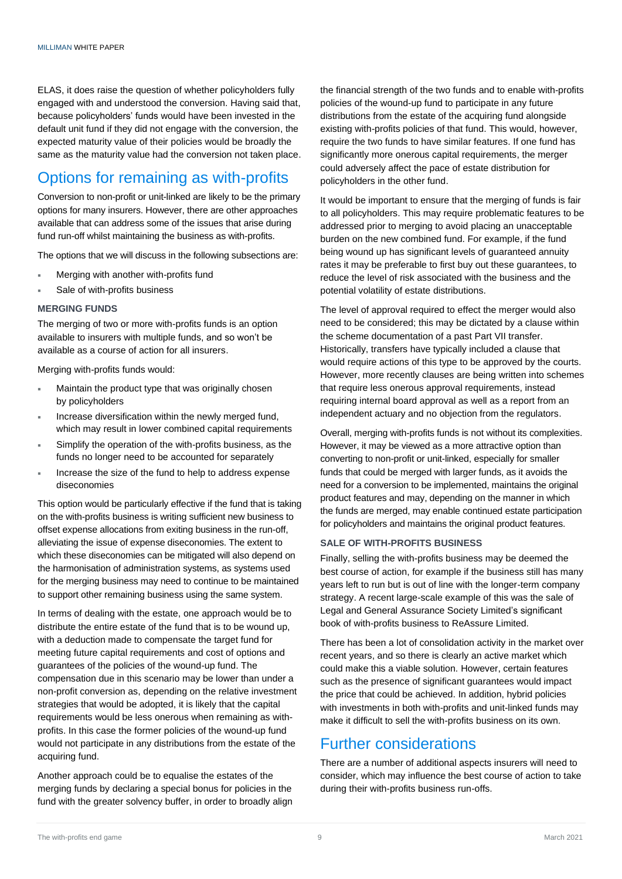ELAS, it does raise the question of whether policyholders fully engaged with and understood the conversion. Having said that, because policyholders' funds would have been invested in the default unit fund if they did not engage with the conversion, the expected maturity value of their policies would be broadly the same as the maturity value had the conversion not taken place.

# Options for remaining as with-profits

Conversion to non-profit or unit-linked are likely to be the primary options for many insurers. However, there are other approaches available that can address some of the issues that arise during fund run-off whilst maintaining the business as with-profits.

The options that we will discuss in the following subsections are:

- Merging with another with-profits fund
- Sale of with-profits business

#### **MERGING FUNDS**

The merging of two or more with-profits funds is an option available to insurers with multiple funds, and so won't be available as a course of action for all insurers.

Merging with-profits funds would:

- Maintain the product type that was originally chosen by policyholders
- Increase diversification within the newly merged fund, which may result in lower combined capital requirements
- Simplify the operation of the with-profits business, as the funds no longer need to be accounted for separately
- Increase the size of the fund to help to address expense diseconomies

This option would be particularly effective if the fund that is taking on the with-profits business is writing sufficient new business to offset expense allocations from exiting business in the run-off, alleviating the issue of expense diseconomies. The extent to which these diseconomies can be mitigated will also depend on the harmonisation of administration systems, as systems used for the merging business may need to continue to be maintained to support other remaining business using the same system.

In terms of dealing with the estate, one approach would be to distribute the entire estate of the fund that is to be wound up, with a deduction made to compensate the target fund for meeting future capital requirements and cost of options and guarantees of the policies of the wound-up fund. The compensation due in this scenario may be lower than under a non-profit conversion as, depending on the relative investment strategies that would be adopted, it is likely that the capital requirements would be less onerous when remaining as withprofits. In this case the former policies of the wound-up fund would not participate in any distributions from the estate of the acquiring fund.

Another approach could be to equalise the estates of the merging funds by declaring a special bonus for policies in the fund with the greater solvency buffer, in order to broadly align the financial strength of the two funds and to enable with-profits policies of the wound-up fund to participate in any future distributions from the estate of the acquiring fund alongside existing with-profits policies of that fund. This would, however, require the two funds to have similar features. If one fund has significantly more onerous capital requirements, the merger could adversely affect the pace of estate distribution for policyholders in the other fund.

It would be important to ensure that the merging of funds is fair to all policyholders. This may require problematic features to be addressed prior to merging to avoid placing an unacceptable burden on the new combined fund. For example, if the fund being wound up has significant levels of guaranteed annuity rates it may be preferable to first buy out these guarantees, to reduce the level of risk associated with the business and the potential volatility of estate distributions.

The level of approval required to effect the merger would also need to be considered; this may be dictated by a clause within the scheme documentation of a past Part VII transfer. Historically, transfers have typically included a clause that would require actions of this type to be approved by the courts. However, more recently clauses are being written into schemes that require less onerous approval requirements, instead requiring internal board approval as well as a report from an independent actuary and no objection from the regulators.

Overall, merging with-profits funds is not without its complexities. However, it may be viewed as a more attractive option than converting to non-profit or unit-linked, especially for smaller funds that could be merged with larger funds, as it avoids the need for a conversion to be implemented, maintains the original product features and may, depending on the manner in which the funds are merged, may enable continued estate participation for policyholders and maintains the original product features.

#### **SALE OF WITH-PROFITS BUSINESS**

Finally, selling the with-profits business may be deemed the best course of action, for example if the business still has many years left to run but is out of line with the longer-term company strategy. A recent large-scale example of this was the sale of Legal and General Assurance Society Limited's significant book of with-profits business to ReAssure Limited.

There has been a lot of consolidation activity in the market over recent years, and so there is clearly an active market which could make this a viable solution. However, certain features such as the presence of significant guarantees would impact the price that could be achieved. In addition, hybrid policies with investments in both with-profits and unit-linked funds may make it difficult to sell the with-profits business on its own.

### Further considerations

There are a number of additional aspects insurers will need to consider, which may influence the best course of action to take during their with-profits business run-offs.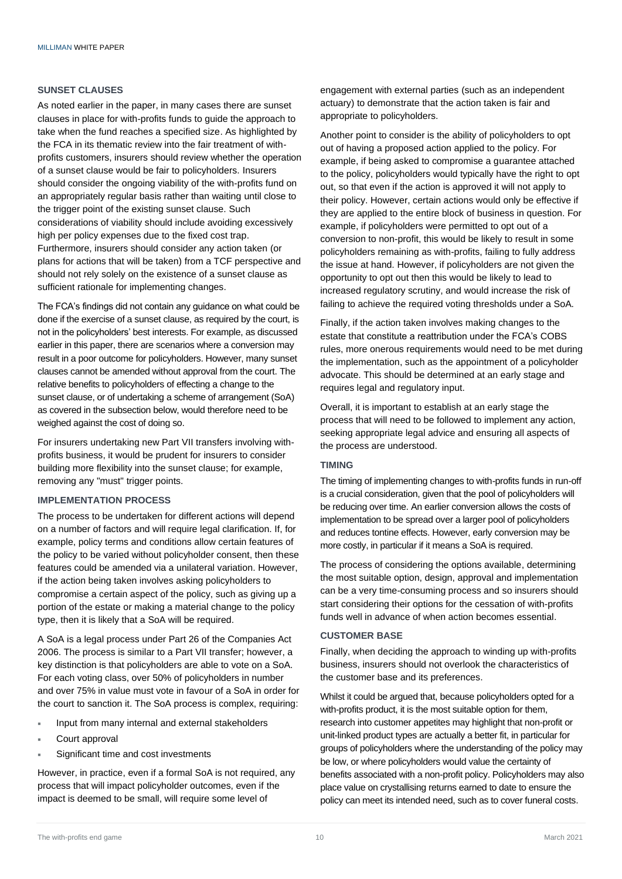#### **SUNSET CLAUSES**

As noted earlier in the paper, in many cases there are sunset clauses in place for with-profits funds to guide the approach to take when the fund reaches a specified size. As highlighted by the FCA in its thematic review into the fair treatment of withprofits customers, insurers should review whether the operation of a sunset clause would be fair to policyholders. Insurers should consider the ongoing viability of the with-profits fund on an appropriately regular basis rather than waiting until close to the trigger point of the existing sunset clause. Such considerations of viability should include avoiding excessively high per policy expenses due to the fixed cost trap. Furthermore, insurers should consider any action taken (or plans for actions that will be taken) from a TCF perspective and should not rely solely on the existence of a sunset clause as sufficient rationale for implementing changes.

The FCA's findings did not contain any guidance on what could be done if the exercise of a sunset clause, as required by the court, is not in the policyholders' best interests. For example, as discussed earlier in this paper, there are scenarios where a conversion may result in a poor outcome for policyholders. However, many sunset clauses cannot be amended without approval from the court. The relative benefits to policyholders of effecting a change to the sunset clause, or of undertaking a scheme of arrangement (SoA) as covered in the subsection below, would therefore need to be weighed against the cost of doing so.

For insurers undertaking new Part VII transfers involving withprofits business, it would be prudent for insurers to consider building more flexibility into the sunset clause; for example, removing any "must" trigger points.

#### **IMPLEMENTATION PROCESS**

The process to be undertaken for different actions will depend on a number of factors and will require legal clarification. If, for example, policy terms and conditions allow certain features of the policy to be varied without policyholder consent, then these features could be amended via a unilateral variation. However, if the action being taken involves asking policyholders to compromise a certain aspect of the policy, such as giving up a portion of the estate or making a material change to the policy type, then it is likely that a SoA will be required.

A SoA is a legal process under Part 26 of the Companies Act 2006. The process is similar to a Part VII transfer; however, a key distinction is that policyholders are able to vote on a SoA. For each voting class, over 50% of policyholders in number and over 75% in value must vote in favour of a SoA in order for the court to sanction it. The SoA process is complex, requiring:

- Input from many internal and external stakeholders
- Court approval
- Significant time and cost investments

However, in practice, even if a formal SoA is not required, any process that will impact policyholder outcomes, even if the impact is deemed to be small, will require some level of

engagement with external parties (such as an independent actuary) to demonstrate that the action taken is fair and appropriate to policyholders.

Another point to consider is the ability of policyholders to opt out of having a proposed action applied to the policy. For example, if being asked to compromise a guarantee attached to the policy, policyholders would typically have the right to opt out, so that even if the action is approved it will not apply to their policy. However, certain actions would only be effective if they are applied to the entire block of business in question. For example, if policyholders were permitted to opt out of a conversion to non-profit, this would be likely to result in some policyholders remaining as with-profits, failing to fully address the issue at hand. However, if policyholders are not given the opportunity to opt out then this would be likely to lead to increased regulatory scrutiny, and would increase the risk of failing to achieve the required voting thresholds under a SoA.

Finally, if the action taken involves making changes to the estate that constitute a reattribution under the FCA's COBS rules, more onerous requirements would need to be met during the implementation, such as the appointment of a policyholder advocate. This should be determined at an early stage and requires legal and regulatory input.

Overall, it is important to establish at an early stage the process that will need to be followed to implement any action, seeking appropriate legal advice and ensuring all aspects of the process are understood.

#### **TIMING**

The timing of implementing changes to with-profits funds in run-off is a crucial consideration, given that the pool of policyholders will be reducing over time. An earlier conversion allows the costs of implementation to be spread over a larger pool of policyholders and reduces tontine effects. However, early conversion may be more costly, in particular if it means a SoA is required.

The process of considering the options available, determining the most suitable option, design, approval and implementation can be a very time-consuming process and so insurers should start considering their options for the cessation of with-profits funds well in advance of when action becomes essential.

#### **CUSTOMER BASE**

Finally, when deciding the approach to winding up with-profits business, insurers should not overlook the characteristics of the customer base and its preferences.

Whilst it could be argued that, because policyholders opted for a with-profits product, it is the most suitable option for them, research into customer appetites may highlight that non-profit or unit-linked product types are actually a better fit, in particular for groups of policyholders where the understanding of the policy may be low, or where policyholders would value the certainty of benefits associated with a non-profit policy. Policyholders may also place value on crystallising returns earned to date to ensure the policy can meet its intended need, such as to cover funeral costs.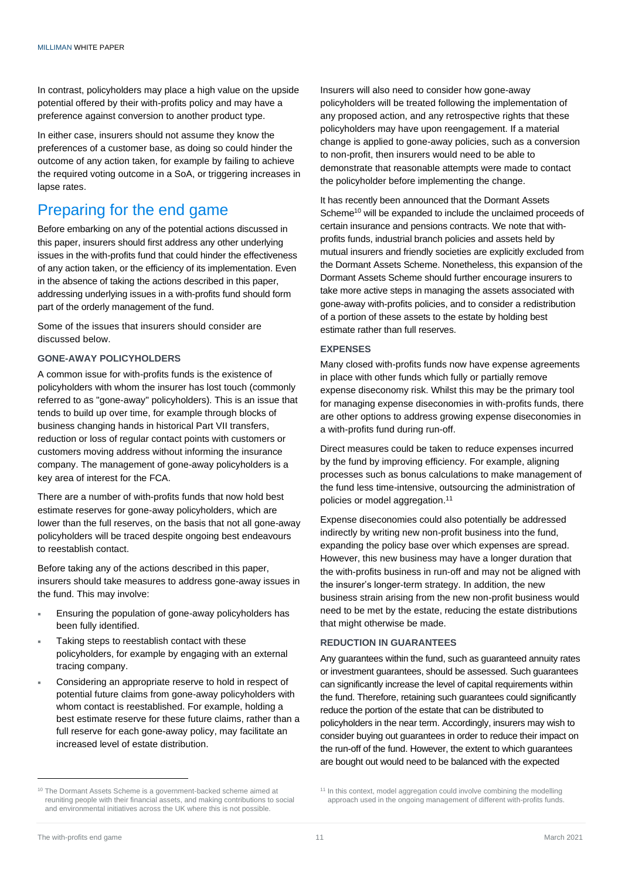In contrast, policyholders may place a high value on the upside potential offered by their with-profits policy and may have a preference against conversion to another product type.

In either case, insurers should not assume they know the preferences of a customer base, as doing so could hinder the outcome of any action taken, for example by failing to achieve the required voting outcome in a SoA, or triggering increases in lapse rates.

## Preparing for the end game

Before embarking on any of the potential actions discussed in this paper, insurers should first address any other underlying issues in the with-profits fund that could hinder the effectiveness of any action taken, or the efficiency of its implementation. Even in the absence of taking the actions described in this paper, addressing underlying issues in a with-profits fund should form part of the orderly management of the fund.

Some of the issues that insurers should consider are discussed below.

#### **GONE-AWAY POLICYHOLDERS**

A common issue for with-profits funds is the existence of policyholders with whom the insurer has lost touch (commonly referred to as "gone-away" policyholders). This is an issue that tends to build up over time, for example through blocks of business changing hands in historical Part VII transfers, reduction or loss of regular contact points with customers or customers moving address without informing the insurance company. The management of gone-away policyholders is a key area of interest for the FCA.

There are a number of with-profits funds that now hold best estimate reserves for gone-away policyholders, which are lower than the full reserves, on the basis that not all gone-away policyholders will be traced despite ongoing best endeavours to reestablish contact.

Before taking any of the actions described in this paper, insurers should take measures to address gone-away issues in the fund. This may involve:

- Ensuring the population of gone-away policyholders has been fully identified.
- Taking steps to reestablish contact with these policyholders, for example by engaging with an external tracing company.
- Considering an appropriate reserve to hold in respect of potential future claims from gone-away policyholders with whom contact is reestablished. For example, holding a best estimate reserve for these future claims, rather than a full reserve for each gone-away policy, may facilitate an increased level of estate distribution.

Insurers will also need to consider how gone-away policyholders will be treated following the implementation of any proposed action, and any retrospective rights that these policyholders may have upon reengagement. If a material change is applied to gone-away policies, such as a conversion to non-profit, then insurers would need to be able to demonstrate that reasonable attempts were made to contact the policyholder before implementing the change.

It has recently been announced that the Dormant Assets Scheme<sup>10</sup> will be expanded to include the unclaimed proceeds of certain insurance and pensions contracts. We note that withprofits funds, industrial branch policies and assets held by mutual insurers and friendly societies are explicitly excluded from the Dormant Assets Scheme. Nonetheless, this expansion of the Dormant Assets Scheme should further encourage insurers to take more active steps in managing the assets associated with gone-away with-profits policies, and to consider a redistribution of a portion of these assets to the estate by holding best estimate rather than full reserves.

#### **EXPENSES**

Many closed with-profits funds now have expense agreements in place with other funds which fully or partially remove expense diseconomy risk. Whilst this may be the primary tool for managing expense diseconomies in with-profits funds, there are other options to address growing expense diseconomies in a with-profits fund during run-off.

Direct measures could be taken to reduce expenses incurred by the fund by improving efficiency. For example, aligning processes such as bonus calculations to make management of the fund less time-intensive, outsourcing the administration of policies or model aggregation. 11

Expense diseconomies could also potentially be addressed indirectly by writing new non-profit business into the fund, expanding the policy base over which expenses are spread. However, this new business may have a longer duration that the with-profits business in run-off and may not be aligned with the insurer's longer-term strategy. In addition, the new business strain arising from the new non-profit business would need to be met by the estate, reducing the estate distributions that might otherwise be made.

#### **REDUCTION IN GUARANTEES**

Any guarantees within the fund, such as guaranteed annuity rates or investment guarantees, should be assessed. Such guarantees can significantly increase the level of capital requirements within the fund. Therefore, retaining such guarantees could significantly reduce the portion of the estate that can be distributed to policyholders in the near term. Accordingly, insurers may wish to consider buying out guarantees in order to reduce their impact on the run-off of the fund. However, the extent to which guarantees are bought out would need to be balanced with the expected

<sup>&</sup>lt;sup>10</sup> The Dormant Assets Scheme is a government-backed scheme aimed at reuniting people with their financial assets, and making contributions to social and environmental initiatives across the UK where this is not possible.

<sup>&</sup>lt;sup>11</sup> In this context, model aggregation could involve combining the modelling approach used in the ongoing management of different with-profits funds.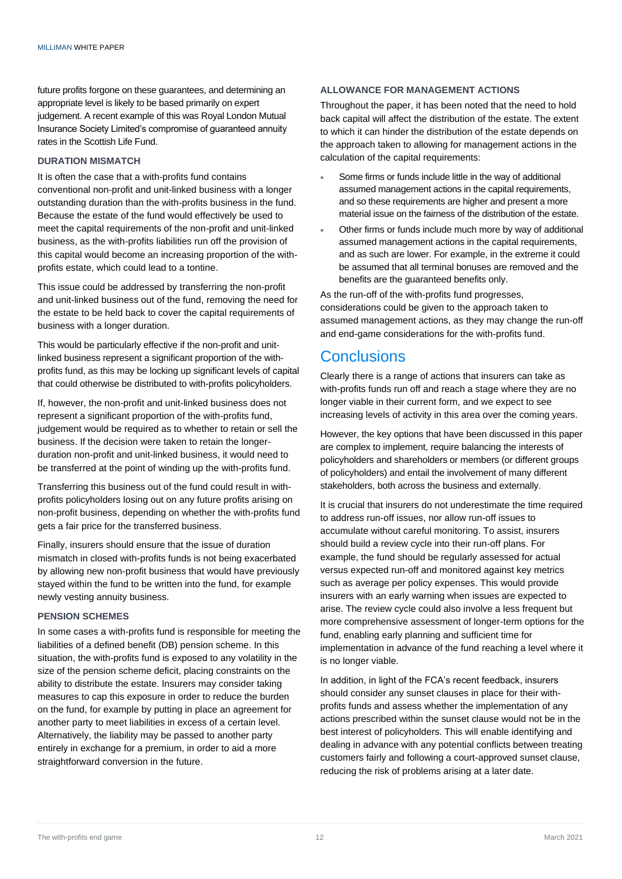future profits forgone on these guarantees, and determining an appropriate level is likely to be based primarily on expert judgement. A recent example of this was Royal London Mutual Insurance Society Limited's compromise of guaranteed annuity rates in the Scottish Life Fund.

#### **DURATION MISMATCH**

It is often the case that a with-profits fund contains conventional non-profit and unit-linked business with a longer outstanding duration than the with-profits business in the fund. Because the estate of the fund would effectively be used to meet the capital requirements of the non-profit and unit-linked business, as the with-profits liabilities run off the provision of this capital would become an increasing proportion of the withprofits estate, which could lead to a tontine.

This issue could be addressed by transferring the non-profit and unit-linked business out of the fund, removing the need for the estate to be held back to cover the capital requirements of business with a longer duration.

This would be particularly effective if the non-profit and unitlinked business represent a significant proportion of the withprofits fund, as this may be locking up significant levels of capital that could otherwise be distributed to with-profits policyholders.

If, however, the non-profit and unit-linked business does not represent a significant proportion of the with-profits fund, judgement would be required as to whether to retain or sell the business. If the decision were taken to retain the longerduration non-profit and unit-linked business, it would need to be transferred at the point of winding up the with-profits fund.

Transferring this business out of the fund could result in withprofits policyholders losing out on any future profits arising on non-profit business, depending on whether the with-profits fund gets a fair price for the transferred business.

Finally, insurers should ensure that the issue of duration mismatch in closed with-profits funds is not being exacerbated by allowing new non-profit business that would have previously stayed within the fund to be written into the fund, for example newly vesting annuity business.

#### **PENSION SCHEMES**

In some cases a with-profits fund is responsible for meeting the liabilities of a defined benefit (DB) pension scheme. In this situation, the with-profits fund is exposed to any volatility in the size of the pension scheme deficit, placing constraints on the ability to distribute the estate. Insurers may consider taking measures to cap this exposure in order to reduce the burden on the fund, for example by putting in place an agreement for another party to meet liabilities in excess of a certain level. Alternatively, the liability may be passed to another party entirely in exchange for a premium, in order to aid a more straightforward conversion in the future.

#### **ALLOWANCE FOR MANAGEMENT ACTIONS**

Throughout the paper, it has been noted that the need to hold back capital will affect the distribution of the estate. The extent to which it can hinder the distribution of the estate depends on the approach taken to allowing for management actions in the calculation of the capital requirements:

- Some firms or funds include little in the way of additional assumed management actions in the capital requirements, and so these requirements are higher and present a more material issue on the fairness of the distribution of the estate.
- Other firms or funds include much more by way of additional assumed management actions in the capital requirements, and as such are lower. For example, in the extreme it could be assumed that all terminal bonuses are removed and the benefits are the guaranteed benefits only.

As the run-off of the with-profits fund progresses, considerations could be given to the approach taken to assumed management actions, as they may change the run-off and end-game considerations for the with-profits fund.

### **Conclusions**

Clearly there is a range of actions that insurers can take as with-profits funds run off and reach a stage where they are no longer viable in their current form, and we expect to see increasing levels of activity in this area over the coming years.

However, the key options that have been discussed in this paper are complex to implement, require balancing the interests of policyholders and shareholders or members (or different groups of policyholders) and entail the involvement of many different stakeholders, both across the business and externally.

It is crucial that insurers do not underestimate the time required to address run-off issues, nor allow run-off issues to accumulate without careful monitoring. To assist, insurers should build a review cycle into their run-off plans. For example, the fund should be regularly assessed for actual versus expected run-off and monitored against key metrics such as average per policy expenses. This would provide insurers with an early warning when issues are expected to arise. The review cycle could also involve a less frequent but more comprehensive assessment of longer-term options for the fund, enabling early planning and sufficient time for implementation in advance of the fund reaching a level where it is no longer viable.

In addition, in light of the FCA's recent feedback, insurers should consider any sunset clauses in place for their withprofits funds and assess whether the implementation of any actions prescribed within the sunset clause would not be in the best interest of policyholders. This will enable identifying and dealing in advance with any potential conflicts between treating customers fairly and following a court-approved sunset clause, reducing the risk of problems arising at a later date.